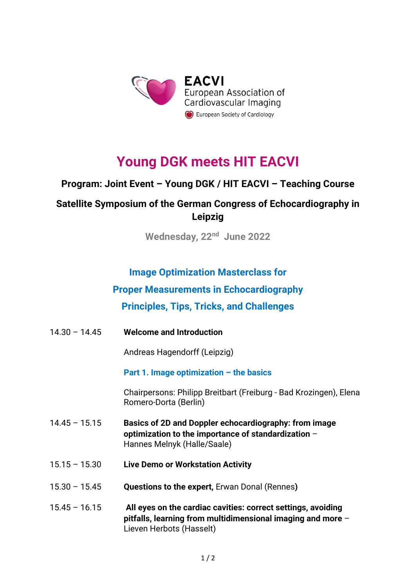

# **Young DGK meets HIT EACVI**

## **Program: Joint Event – Young DGK / HIT EACVI – Teaching Course**

# **Satellite Symposium of the German Congress of Echocardiography in Leipzig**

**Wednesday, 22nd June 2022**

#### **Image Optimization Masterclass for**

## **Proper Measurements in Echocardiography**

## **Principles, Tips, Tricks, and Challenges**

14.30 – 14.45 **Welcome and Introduction**

Andreas Hagendorff (Leipzig)

**Part 1. Image optimization – the basics**

Chairpersons: Philipp Breitbart (Freiburg - Bad Krozingen), Elena Romero-Dorta (Berlin)

- 14.45 15.15 **Basics of 2D and Doppler echocardiography: from image optimization to the importance of standardization** – Hannes Melnyk (Halle/Saale)
- 15.15 15.30 **Live Demo or Workstation Activity**
- 15.30 15.45 **Questions to the expert,** Erwan Donal (Rennes**)**
- 15.45 16.15 **All eyes on the cardiac cavities: correct settings, avoiding pitfalls, learning from multidimensional imaging and more** – Lieven Herbots (Hasselt)